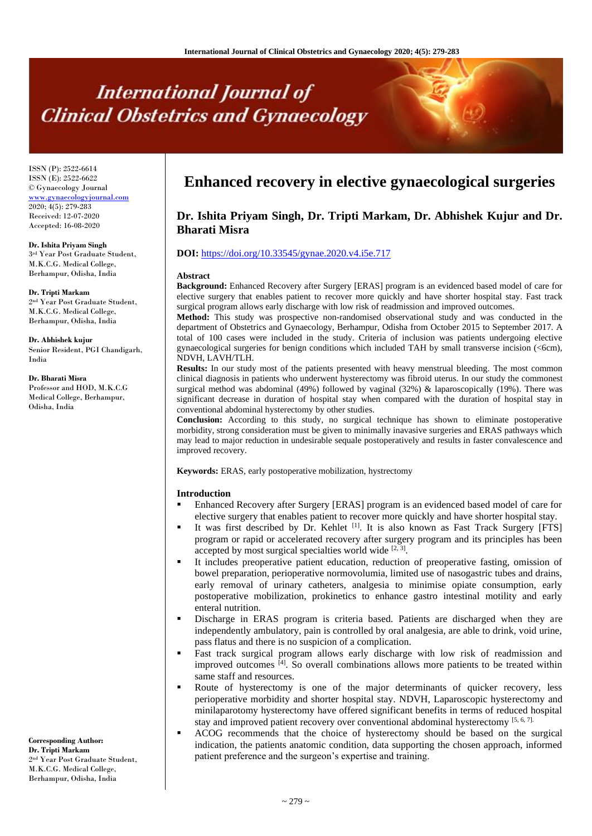# **International Journal of Clinical Obstetrics and Gynaecology**

ISSN (P): 2522-6614 ISSN (E): 2522-6622 © Gynaecology Journal [www.gynaecologyjournal.com](http://www.gynaecologyjournal.com/) 2020; 4(5): 279-283 Received: 12-07-2020 Accepted: 16-08-2020

**Dr. Ishita Priyam Singh** 3 rd Year Post Graduate Student, M.K.C.G. Medical College, Berhampur, Odisha, India

**Dr. Tripti Markam** 2 nd Year Post Graduate Student, M.K.C.G. Medical College, Berhampur, Odisha, India

**Dr. Abhishek kujur** Senior Resident, PGI Chandigarh, India

**Dr. Bharati Misra** Professor and HOD, M.K.C.G

Medical College, Berhampur, Odisha, India

**Corresponding Author: Dr. Tripti Markam** 2 nd Year Post Graduate Student, M.K.C.G. Medical College, Berhampur, Odisha, India

## **Enhanced recovery in elective gynaecological surgeries**

### **Dr. Ishita Priyam Singh, Dr. Tripti Markam, Dr. Abhishek Kujur and Dr. Bharati Misra**

#### **DOI:** <https://doi.org/10.33545/gynae.2020.v4.i5e.717>

#### **Abstract**

**Background:** Enhanced Recovery after Surgery [ERAS] program is an evidenced based model of care for elective surgery that enables patient to recover more quickly and have shorter hospital stay. Fast track surgical program allows early discharge with low risk of readmission and improved outcomes.

**Method:** This study was prospective non-randomised observational study and was conducted in the department of Obstetrics and Gynaecology, Berhampur, Odisha from October 2015 to September 2017. A total of 100 cases were included in the study. Criteria of inclusion was patients undergoing elective gynaecological surgeries for benign conditions which included TAH by small transverse incision (<6cm), NDVH, LAVH/TLH.

**Results:** In our study most of the patients presented with heavy menstrual bleeding. The most common clinical diagnosis in patients who underwent hysterectomy was fibroid uterus. In our study the commonest surgical method was abdominal (49%) followed by vaginal (32%) & laparoscopically (19%). There was significant decrease in duration of hospital stay when compared with the duration of hospital stay in conventional abdominal hysterectomy by other studies.

**Conclusion:** According to this study, no surgical technique has shown to eliminate postoperative morbidity, strong consideration must be given to minimally inavasive surgeries and ERAS pathways which may lead to major reduction in undesirable sequale postoperatively and results in faster convalescence and improved recovery.

**Keywords:** ERAS, early postoperative mobilization, hystrectomy

#### **Introduction**

- Enhanced Recovery after Surgery [ERAS] program is an evidenced based model of care for elective surgery that enables patient to recover more quickly and have shorter hospital stay.
- It was first described by Dr. Kehlet [1]. It is also known as Fast Track Surgery [FTS] program or rapid or accelerated recovery after surgery program and its principles has been accepted by most surgical specialties world wide  $[2, 3]$ .
- It includes preoperative patient education, reduction of preoperative fasting, omission of bowel preparation, perioperative normovolumia, limited use of nasogastric tubes and drains, early removal of urinary catheters, analgesia to minimise opiate consumption, early postoperative mobilization, prokinetics to enhance gastro intestinal motility and early enteral nutrition.
- Discharge in ERAS program is criteria based. Patients are discharged when they are independently ambulatory, pain is controlled by oral analgesia, are able to drink, void urine, pass flatus and there is no suspicion of a complication.
- Fast track surgical program allows early discharge with low risk of readmission and improved outcomes [4] . So overall combinations allows more patients to be treated within same staff and resources.
- Route of hysterectomy is one of the major determinants of quicker recovery, less perioperative morbidity and shorter hospital stay. NDVH, Laparoscopic hysterectomy and minilaparotomy hysterectomy have offered significant benefits in terms of reduced hospital stay and improved patient recovery over conventional abdominal hysterectomy [5, 6, 7].
- ACOG recommends that the choice of hysterectomy should be based on the surgical indication, the patients anatomic condition, data supporting the chosen approach, informed patient preference and the surgeon's expertise and training.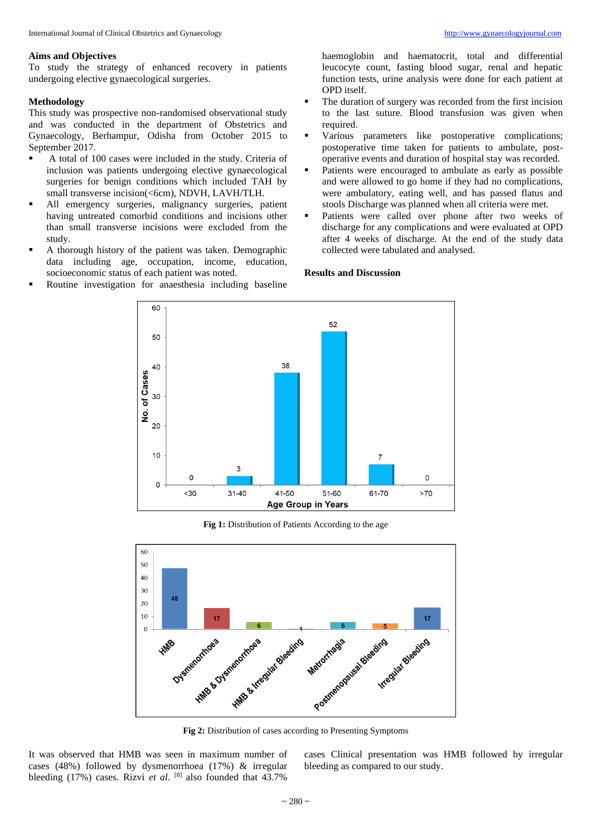#### **Aims and Objectives**

To study the strategy of enhanced recovery in patients undergoing elective gynaecological surgeries.

#### **Methodology**

This study was prospective non-randomised observational study and was conducted in the department of Obstetrics and Gynaecology, Berhampur, Odisha from October 2015 to September 2017.

- A total of 100 cases were included in the study. Criteria of inclusion was patients undergoing elective gynaecological surgeries for benign conditions which included TAH by small transverse incision(<6cm), NDVH, LAVH/TLH.
- All emergency surgeries, malignancy surgeries, patient having untreated comorbid conditions and incisions other than small transverse incisions were excluded from the study.
- A thorough history of the patient was taken. Demographic data including age, occupation, income, education, socioeconomic status of each patient was noted.
- Routine investigation for anaesthesia including baseline

haemoglobin and haematocrit, total and differential leucocyte count, fasting blood sugar, renal and hepatic function tests, urine analysis were done for each patient at OPD itself.

- The duration of surgery was recorded from the first incision to the last suture. Blood transfusion was given when required.
- Various parameters like postoperative complications; postoperative time taken for patients to ambulate, postoperative events and duration of hospital stay was recorded.
- Patients were encouraged to ambulate as early as possible and were allowed to go home if they had no complications, were ambulatory, eating well, and has passed flatus and stools Discharge was planned when all criteria were met.
- Patients were called over phone after two weeks of discharge for any complications and were evaluated at OPD after 4 weeks of discharge. At the end of the study data collected were tabulated and analysed.



**Results and Discussion**

Fig 1: Distribution of Patients According to the age



**Fig 2:** Distribution of cases according to Presenting Symptoms

It was observed that HMB was seen in maximum number of cases (48%) followed by dysmenorrhoea (17%) & irregular bleeding (17%) cases. Rizvi *et al*. [8] also founded that 43.7% cases Clinical presentation was HMB followed by irregular bleeding as compared to our study.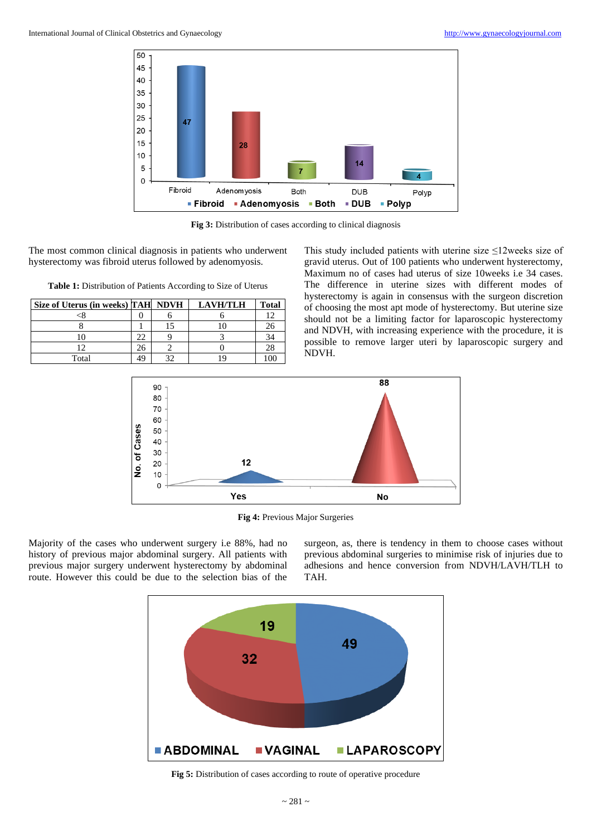

**Fig 3:** Distribution of cases according to clinical diagnosis

The most common clinical diagnosis in patients who underwent hysterectomy was fibroid uterus followed by adenomyosis.

**Table 1:** Distribution of Patients According to Size of Uterus

| Size of Uterus (in weeks) TAH NDVH |    | <b>LAVH/TLH</b> | <b>Total</b>   |
|------------------------------------|----|-----------------|----------------|
|                                    |    |                 |                |
|                                    |    |                 | 26             |
|                                    |    |                 | 34             |
|                                    | 20 |                 | 28             |
| Total                              |    |                 | 0 <sup>0</sup> |

This study included patients with uterine size ≤12weeks size of gravid uterus. Out of 100 patients who underwent hysterectomy, Maximum no of cases had uterus of size 10weeks i.e 34 cases. The difference in uterine sizes with different modes of hysterectomy is again in consensus with the surgeon discretion of choosing the most apt mode of hysterectomy. But uterine size should not be a limiting factor for laparoscopic hysterectomy and NDVH, with increasing experience with the procedure, it is possible to remove larger uteri by laparoscopic surgery and NDVH.



**Fig 4:** Previous Major Surgeries

Majority of the cases who underwent surgery i.e 88%, had no history of previous major abdominal surgery. All patients with previous major surgery underwent hysterectomy by abdominal route. However this could be due to the selection bias of the

surgeon, as, there is tendency in them to choose cases without previous abdominal surgeries to minimise risk of injuries due to adhesions and hence conversion from NDVH/LAVH/TLH to TAH.



**Fig 5:** Distribution of cases according to route of operative procedure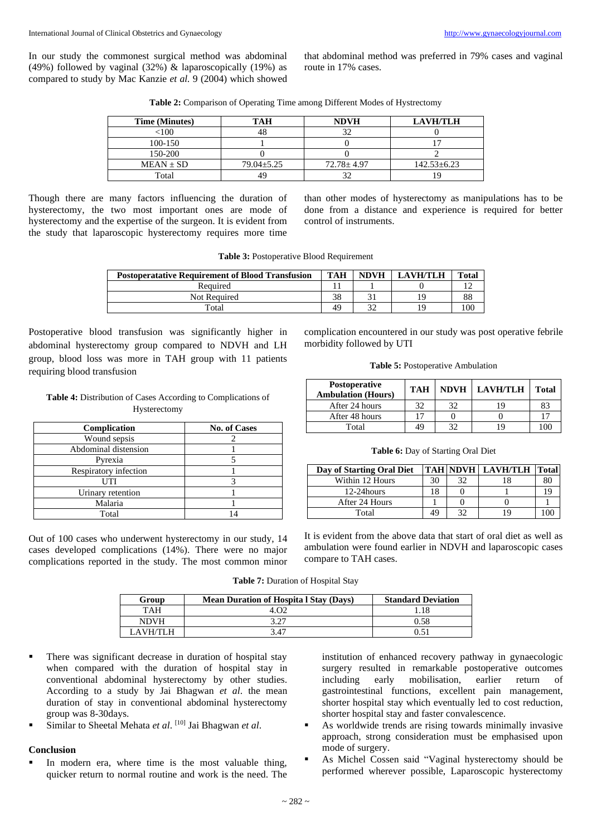In our study the commonest surgical method was abdominal (49%) followed by vaginal (32%) & laparoscopically (19%) as compared to study by Mac Kanzie *et al.* 9 (2004) which showed that abdominal method was preferred in 79% cases and vaginal route in 17% cases.

**Table 2:** Comparison of Operating Time among Different Modes of Hystrectomy

| <b>Time (Minutes)</b> | тан        | <b>NDVH</b>      | <b>LAVH/TLH</b>   |
|-----------------------|------------|------------------|-------------------|
| < 100                 |            |                  |                   |
| 100-150               |            |                  |                   |
| 150-200               |            |                  |                   |
| $MEAN \pm SD$         | 79.04±5.25 | $72.78 \pm 4.97$ | $142.53 \pm 6.23$ |
| Total                 |            |                  |                   |

Though there are many factors influencing the duration of hysterectomy, the two most important ones are mode of hysterectomy and the expertise of the surgeon. It is evident from the study that laparoscopic hysterectomy requires more time than other modes of hysterectomy as manipulations has to be done from a distance and experience is required for better control of instruments.

| Table 3: Postoperative Blood Requirement |  |
|------------------------------------------|--|
|------------------------------------------|--|

| <b>Postoperatative Requirement of Blood Transfusion</b> | <b>TAH</b> | <b>NDVH</b> | <b>LAVH/TLH</b> | Total |
|---------------------------------------------------------|------------|-------------|-----------------|-------|
| Required                                                |            |             |                 |       |
| Not Required                                            | 38         |             | 19              | 88    |
| Total                                                   | 49         |             | 1 Q             | 100   |

Postoperative blood transfusion was significantly higher in abdominal hysterectomy group compared to NDVH and LH group, blood loss was more in TAH group with 11 patients requiring blood transfusion

**Table 4:** Distribution of Cases According to Complications of Hysterectomy

| Complication          | <b>No. of Cases</b> |
|-----------------------|---------------------|
| Wound sepsis          |                     |
| Abdominal distension  |                     |
| Pyrexia               |                     |
| Respiratory infection |                     |
| UTI                   |                     |
| Urinary retention     |                     |
| Malaria               |                     |
| Total                 |                     |

Out of 100 cases who underwent hysterectomy in our study, 14 cases developed complications (14%). There were no major complications reported in the study. The most common minor complication encountered in our study was post operative febrile morbidity followed by UTI

#### **Table 5:** Postoperative Ambulation

| <b>Postoperative</b><br><b>Ambulation (Hours)</b> | <b>TAH</b> | <b>NDVH   LAVH/TLH</b> | <b>Total</b> |
|---------------------------------------------------|------------|------------------------|--------------|
| After 24 hours                                    | 20         |                        | 83           |
| After 48 hours                                    |            |                        |              |
| Total                                             | 49         |                        | LOC          |

|  |  | Table 6: Day of Starting Oral Diet |  |
|--|--|------------------------------------|--|
|  |  |                                    |  |

| Day of Starting Oral Diet |    | <b>TAH NDVH LAVH/TLH Total</b> |     |
|---------------------------|----|--------------------------------|-----|
| Within 12 Hours           | 30 |                                | 80  |
| $12-24$ hours             | 18 |                                | 1 G |
| After 24 Hours            |    |                                |     |
| Total                     | 10 |                                |     |

It is evident from the above data that start of oral diet as well as ambulation were found earlier in NDVH and laparoscopic cases compare to TAH cases.

**Table 7:** Duration of Hospital Stay

| Group       | <b>Mean Duration of Hospita I Stay (Days)</b> | <b>Standard Deviation</b> |
|-------------|-----------------------------------------------|---------------------------|
| <b>TAH</b>  |                                               |                           |
| <b>NDVH</b> |                                               | 0.58                      |
|             | ,47                                           |                           |

- There was significant decrease in duration of hospital stay when compared with the duration of hospital stay in conventional abdominal hysterectomy by other studies. According to a study by Jai Bhagwan *et al*. the mean duration of stay in conventional abdominal hysterectomy group was 8-30days.
- Similar to Sheetal Mehata *et al*. [10] Jai Bhagwan *et al*.

#### **Conclusion**

In modern era, where time is the most valuable thing, quicker return to normal routine and work is the need. The institution of enhanced recovery pathway in gynaecologic surgery resulted in remarkable postoperative outcomes including early mobilisation, earlier return of gastrointestinal functions, excellent pain management, shorter hospital stay which eventually led to cost reduction, shorter hospital stay and faster convalescence.

- As worldwide trends are rising towards minimally invasive approach, strong consideration must be emphasised upon mode of surgery.
- As Michel Cossen said "Vaginal hysterectomy should be performed wherever possible, Laparoscopic hysterectomy